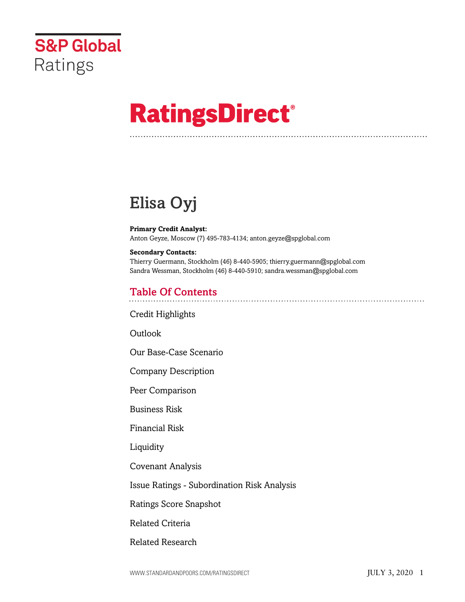

# **RatingsDirect®**

## Elisa Oyj

#### **Primary Credit Analyst:** Anton Geyze, Moscow (7) 495-783-4134; anton.geyze@spglobal.com

#### **Secondary Contacts:**

Thierry Guermann, Stockholm (46) 8-440-5905; thierry.guermann@spglobal.com Sandra Wessman, Stockholm (46) 8-440-5910; sandra.wessman@spglobal.com

## Table Of Contents

[Credit Highlights](#page-1-0)

[Outlook](#page-3-0)

[Our Base-Case Scenario](#page-3-1)

[Company Description](#page-4-0)

[Peer Comparison](#page-4-1)

[Business Risk](#page-5-0)

[Financial Risk](#page-6-0)

[Liquidity](#page-8-0)

[Covenant Analysis](#page-9-0)

[Issue Ratings - Subordination Risk Analysis](#page-9-1)

[Ratings Score Snapshot](#page-9-2)

[Related Criteria](#page-10-0)

[Related Research](#page-11-0)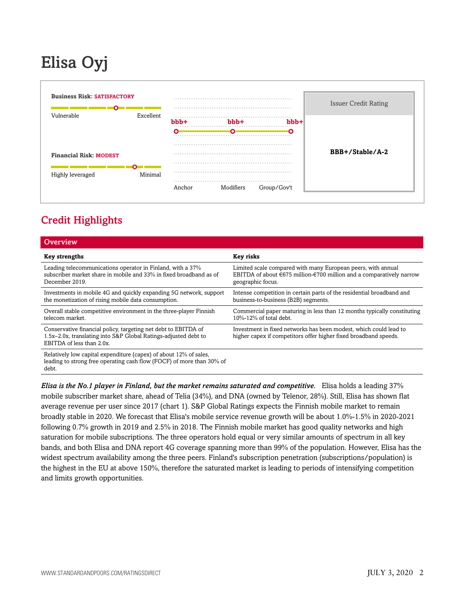## Elisa Oyj



## <span id="page-1-0"></span>Credit Highlights

| Overview                                                                                                                                                       |                                                                                                                                                           |
|----------------------------------------------------------------------------------------------------------------------------------------------------------------|-----------------------------------------------------------------------------------------------------------------------------------------------------------|
| <b>Key strengths</b>                                                                                                                                           | Key risks                                                                                                                                                 |
| Leading telecommunications operator in Finland, with a 37%<br>subscriber market share in mobile and 33% in fixed broadband as of<br>December 2019.             | Limited scale compared with many European peers, with annual<br>EBITDA of about €675 million-€700 million and a comparatively narrow<br>geographic focus. |
| Investments in mobile 4G and quickly expanding 5G network, support<br>the monetization of rising mobile data consumption.                                      | Intense competition in certain parts of the residential broadband and<br>business-to-business (B2B) segments.                                             |
| Overall stable competitive environment in the three-player Finnish<br>telecom market.                                                                          | Commercial paper maturing in less than 12 months typically constituting<br>10%-12% of total debt.                                                         |
| Conservative financial policy, targeting net debt to EBITDA of<br>1.5x-2.0x, translating into S&P Global Ratings-adjusted debt to<br>EBITDA of less than 2.0x. | Investment in fixed networks has been modest, which could lead to<br>higher capex if competitors offer higher fixed broadband speeds.                     |
| Relatively low capital expenditure (capex) of about 12% of sales,<br>leading to strong free operating cash flow (FOCF) of more than 30% of                     |                                                                                                                                                           |

debt.

*Elisa is the No.1 player in Finland, but the market remains saturated and competitive.* Elisa holds a leading 37% mobile subscriber market share, ahead of Telia (34%), and DNA (owned by Telenor, 28%). Still, Elisa has shown flat average revenue per user since 2017 (chart 1). S&P Global Ratings expects the Finnish mobile market to remain broadly stable in 2020. We forecast that Elisa's mobile service revenue growth will be about 1.0%-1.5% in 2020-2021 following 0.7% growth in 2019 and 2.5% in 2018. The Finnish mobile market has good quality networks and high saturation for mobile subscriptions. The three operators hold equal or very similar amounts of spectrum in all key bands, and both Elisa and DNA report 4G coverage spanning more than 99% of the population. However, Elisa has the widest spectrum availability among the three peers. Finland's subscription penetration (subscriptions/population) is the highest in the EU at above 150%, therefore the saturated market is leading to periods of intensifying competition and limits growth opportunities.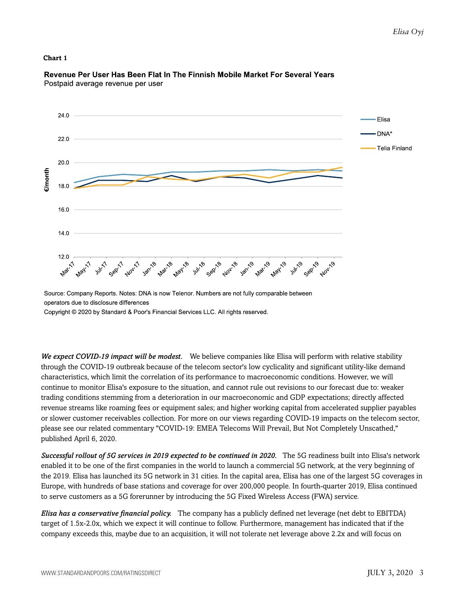#### **Chart 1**



#### Revenue Per User Has Been Flat In The Finnish Mobile Market For Several Years Postpaid average revenue per user

Source: Company Reports. Notes: DNA is now Telenor. Numbers are not fully comparable between operators due to disclosure differences Copyright © 2020 by Standard & Poor's Financial Services LLC. All rights reserved.

*We expect COVID-19 impact will be modest.* We believe companies like Elisa will perform with relative stability through the COVID-19 outbreak because of the telecom sector's low cyclicality and significant utility-like demand characteristics, which limit the correlation of its performance to macroeconomic conditions. However, we will continue to monitor Elisa's exposure to the situation, and cannot rule out revisions to our forecast due to: weaker trading conditions stemming from a deterioration in our macroeconomic and GDP expectations; directly affected revenue streams like roaming fees or equipment sales; and higher working capital from accelerated supplier payables or slower customer receivables collection. For more on our views regarding COVID-19 impacts on the telecom sector, please see our related commentary "COVID-19: EMEA Telecoms Will Prevail, But Not Completely Unscathed," published April 6, 2020.

*Successful rollout of 5G services in 2019 expected to be continued in 2020.* The 5G readiness built into Elisa's network enabled it to be one of the first companies in the world to launch a commercial 5G network, at the very beginning of the 2019. Elisa has launched its 5G network in 31 cities. In the capital area, Elisa has one of the largest 5G coverages in Europe, with hundreds of base stations and coverage for over 200,000 people. In fourth-quarter 2019, Elisa continued to serve customers as a 5G forerunner by introducing the 5G Fixed Wireless Access (FWA) service.

*Elisa has a conservative financial policy.* The company has a publicly defined net leverage (net debt to EBITDA) target of 1.5x-2.0x, which we expect it will continue to follow. Furthermore, management has indicated that if the company exceeds this, maybe due to an acquisition, it will not tolerate net leverage above 2.2x and will focus on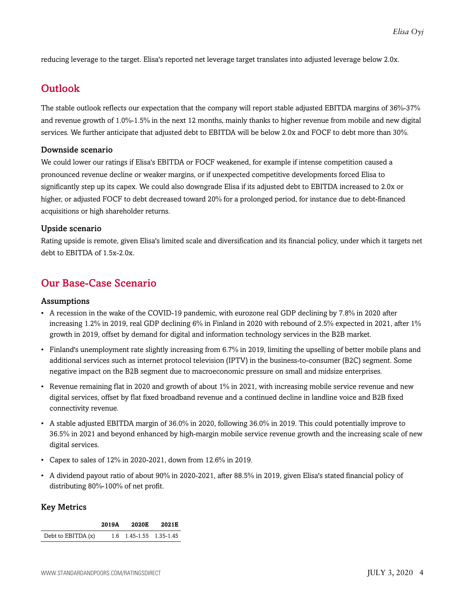<span id="page-3-0"></span>reducing leverage to the target. Elisa's reported net leverage target translates into adjusted leverage below 2.0x.

## **Outlook**

The stable outlook reflects our expectation that the company will report stable adjusted EBITDA margins of 36%-37% and revenue growth of 1.0%-1.5% in the next 12 months, mainly thanks to higher revenue from mobile and new digital services. We further anticipate that adjusted debt to EBITDA will be below 2.0x and FOCF to debt more than 30%.

#### Downside scenario

We could lower our ratings if Elisa's EBITDA or FOCF weakened, for example if intense competition caused a pronounced revenue decline or weaker margins, or if unexpected competitive developments forced Elisa to significantly step up its capex. We could also downgrade Elisa if its adjusted debt to EBITDA increased to 2.0x or higher, or adjusted FOCF to debt decreased toward 20% for a prolonged period, for instance due to debt-financed acquisitions or high shareholder returns.

#### Upside scenario

Rating upside is remote, given Elisa's limited scale and diversification and its financial policy, under which it targets net debt to EBITDA of 1.5x-2.0x.

## <span id="page-3-1"></span>Our Base-Case Scenario

#### Assumptions

- A recession in the wake of the COVID-19 pandemic, with eurozone real GDP declining by 7.8% in 2020 after increasing 1.2% in 2019, real GDP declining 6% in Finland in 2020 with rebound of 2.5% expected in 2021, after 1% growth in 2019, offset by demand for digital and information technology services in the B2B market.
- Finland's unemployment rate slightly increasing from 6.7% in 2019, limiting the upselling of better mobile plans and additional services such as internet protocol television (IPTV) in the business-to-consumer (B2C) segment. Some negative impact on the B2B segment due to macroeconomic pressure on small and midsize enterprises.
- Revenue remaining flat in 2020 and growth of about 1% in 2021, with increasing mobile service revenue and new digital services, offset by flat fixed broadband revenue and a continued decline in landline voice and B2B fixed connectivity revenue.
- A stable adjusted EBITDA margin of 36.0% in 2020, following 36.0% in 2019. This could potentially improve to 36.5% in 2021 and beyond enhanced by high-margin mobile service revenue growth and the increasing scale of new digital services.
- Capex to sales of 12% in 2020-2021, down from 12.6% in 2019.
- A dividend payout ratio of about 90% in 2020-2021, after 88.5% in 2019, given Elisa's stated financial policy of distributing 80%-100% of net profit.

#### Key Metrics

|                    | 2019A | 2020E                   | 2021E |
|--------------------|-------|-------------------------|-------|
| Debt to EBITDA (x) |       | 1.6 1.45-1.55 1.35-1.45 |       |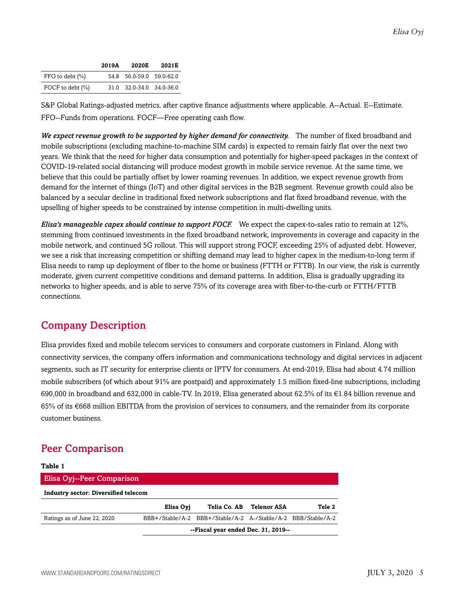|                       | 2019A | 2020E                    | 2021E |
|-----------------------|-------|--------------------------|-------|
| $FFO$ to debt $(\% )$ |       | 54.8 56.0-59.0 59.0-62.0 |       |
| FOCF to debt (%)      |       | 31.0 32.0-34.0 34.0-36.0 |       |

S&P Global Ratings-adjusted metrics, after captive finance adjustments where applicable. A--Actual. E--Estimate. FFO--Funds from operations. FOCF—Free operating cash flow.

*We expect revenue growth to be supported by higher demand for connectivity.* The number of fixed broadband and mobile subscriptions (excluding machine-to-machine SIM cards) is expected to remain fairly flat over the next two years. We think that the need for higher data consumption and potentially for higher-speed packages in the context of COVID-19-related social distancing will produce modest growth in mobile service revenue. At the same time, we believe that this could be partially offset by lower roaming revenues. In addition, we expect revenue growth from demand for the internet of things (IoT) and other digital services in the B2B segment. Revenue growth could also be balanced by a secular decline in traditional fixed network subscriptions and flat fixed broadband revenue, with the upselling of higher speeds to be constrained by intense competition in multi-dwelling units.

*Elisa's manageable capex should continue to support FOCF.* We expect the capex-to-sales ratio to remain at 12%, stemming from continued investments in the fixed broadband network, improvements in coverage and capacity in the mobile network, and continued 5G rollout. This will support strong FOCF, exceeding 25% of adjusted debt. However, we see a risk that increasing competition or shifting demand may lead to higher capex in the medium-to-long term if Elisa needs to ramp up deployment of fiber to the home or business (FTTH or FTTB). In our view, the risk is currently moderate, given current competitive conditions and demand patterns. In addition, Elisa is gradually upgrading its networks to higher speeds, and is able to serve 75% of its coverage area with fiber-to-the-curb or FTTH/FTTB connections.

## <span id="page-4-0"></span>Company Description

Elisa provides fixed and mobile telecom services to consumers and corporate customers in Finland. Along with connectivity services, the company offers information and communications technology and digital services in adjacent segments, such as IT security for enterprise clients or IPTV for consumers. At end-2019, Elisa had about 4.74 million mobile subscribers (of which about 91% are postpaid) and approximately 1.5 million fixed-line subscriptions, including 690,000 in broadband and 632,000 in cable-TV. In 2019, Elisa generated about 62.5% of its €1.84 billion revenue and 65% of its €668 million EBITDA from the provision of services to consumers, and the remainder from its corporate customer business.

## <span id="page-4-1"></span>Peer Comparison

| Table 1                                     |                                     |                                                              |             |        |  |  |  |
|---------------------------------------------|-------------------------------------|--------------------------------------------------------------|-------------|--------|--|--|--|
| <b>Elisa Oyj--Peer Comparison</b>           |                                     |                                                              |             |        |  |  |  |
| <b>Industry sector: Diversified telecom</b> |                                     |                                                              |             |        |  |  |  |
|                                             | Elisa Ovi                           | Telia Co. AB                                                 | Telenor ASA | Tele 2 |  |  |  |
| Ratings as of June 22, 2020                 |                                     | BBB+/Stable/A-2 BBB+/Stable/A-2 A-/Stable/A-2 BBB/Stable/A-2 |             |        |  |  |  |
|                                             | --Fiscal year ended Dec. 31, 2019-- |                                                              |             |        |  |  |  |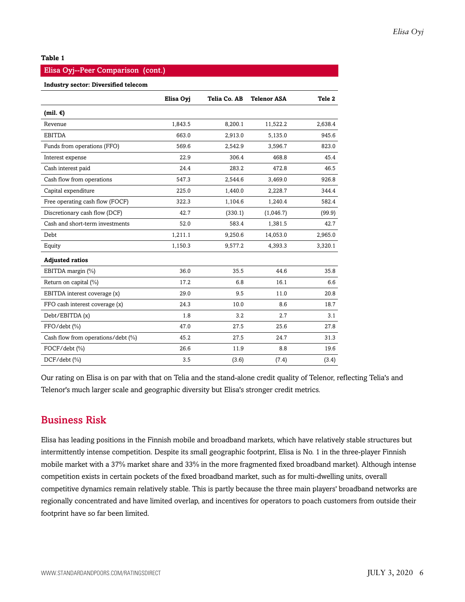#### **Table 1**

#### Elisa Oyj--Peer Comparison (cont.)

#### **Industry sector: Diversified telecom**

|                                    | Elisa Oyj | Telia Co. AB | <b>Telenor ASA</b> | Tele 2  |
|------------------------------------|-----------|--------------|--------------------|---------|
| $(mil. \epsilon)$                  |           |              |                    |         |
| Revenue                            | 1,843.5   | 8,200.1      | 11,522.2           | 2,638.4 |
| <b>EBITDA</b>                      | 663.0     | 2,913.0      | 5,135.0            | 945.6   |
| Funds from operations (FFO)        | 569.6     | 2,542.9      | 3,596.7            | 823.0   |
| Interest expense                   | 22.9      | 306.4        | 468.8              | 45.4    |
| Cash interest paid                 | 24.4      | 283.2        | 472.8              | 46.5    |
| Cash flow from operations          | 547.3     | 2,544.6      | 3,469.0            | 926.8   |
| Capital expenditure                | 225.0     | 1,440.0      | 2,228.7            | 344.4   |
| Free operating cash flow (FOCF)    | 322.3     | 1,104.6      | 1,240.4            | 582.4   |
| Discretionary cash flow (DCF)      | 42.7      | (330.1)      | (1,046.7)          | (99.9)  |
| Cash and short-term investments    | 52.0      | 583.4        | 1,381.5            | 42.7    |
| <b>Debt</b>                        | 1,211.1   | 9,250.6      | 14,053.0           | 2,965.0 |
| Equity                             | 1,150.3   | 9,577.2      | 4,393.3            | 3,320.1 |
| <b>Adjusted ratios</b>             |           |              |                    |         |
| EBITDA margin (%)                  | 36.0      | 35.5         | 44.6               | 35.8    |
| Return on capital (%)              | 17.2      | 6.8          | 16.1               | 6.6     |
| EBITDA interest coverage (x)       | 29.0      | 9.5          | 11.0               | 20.8    |
| FFO cash interest coverage (x)     | 24.3      | 10.0         | 8.6                | 18.7    |
| Debt/EBITDA (x)                    | 1.8       | 3.2          | 2.7                | 3.1     |
| FFO/debt (%)                       | 47.0      | 27.5         | 25.6               | 27.8    |
| Cash flow from operations/debt (%) | 45.2      | 27.5         | 24.7               | 31.3    |
| FOCF/debt (%)                      | 26.6      | 11.9         | 8.8                | 19.6    |
| $DCF/debt$ (%)                     | 3.5       | (3.6)        | (7.4)              | (3.4)   |

Our rating on Elisa is on par with that on Telia and the stand-alone credit quality of Telenor, reflecting Telia's and Telenor's much larger scale and geographic diversity but Elisa's stronger credit metrics.

## <span id="page-5-0"></span>Business Risk

Elisa has leading positions in the Finnish mobile and broadband markets, which have relatively stable structures but intermittently intense competition. Despite its small geographic footprint, Elisa is No. 1 in the three-player Finnish mobile market with a 37% market share and 33% in the more fragmented fixed broadband market). Although intense competition exists in certain pockets of the fixed broadband market, such as for multi-dwelling units, overall competitive dynamics remain relatively stable. This is partly because the three main players' broadband networks are regionally concentrated and have limited overlap, and incentives for operators to poach customers from outside their footprint have so far been limited.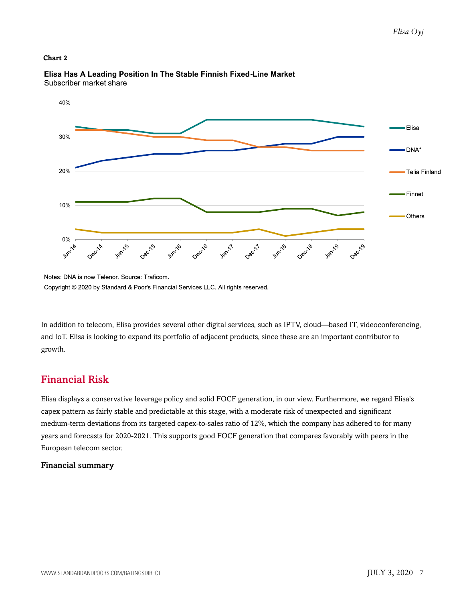#### **Chart 2**



Elisa Has A Leading Position In The Stable Finnish Fixed-Line Market Subscriber market share

In addition to telecom, Elisa provides several other digital services, such as IPTV, cloud—based IT, videoconferencing, and IoT. Elisa is looking to expand its portfolio of adjacent products, since these are an important contributor to growth.

## <span id="page-6-0"></span>Financial Risk

Elisa displays a conservative leverage policy and solid FOCF generation, in our view. Furthermore, we regard Elisa's capex pattern as fairly stable and predictable at this stage, with a moderate risk of unexpected and significant medium-term deviations from its targeted capex-to-sales ratio of 12%, which the company has adhered to for many years and forecasts for 2020-2021. This supports good FOCF generation that compares favorably with peers in the European telecom sector.

#### Financial summary

Notes: DNA is now Telenor. Source: Traficom. Copyright © 2020 by Standard & Poor's Financial Services LLC. All rights reserved.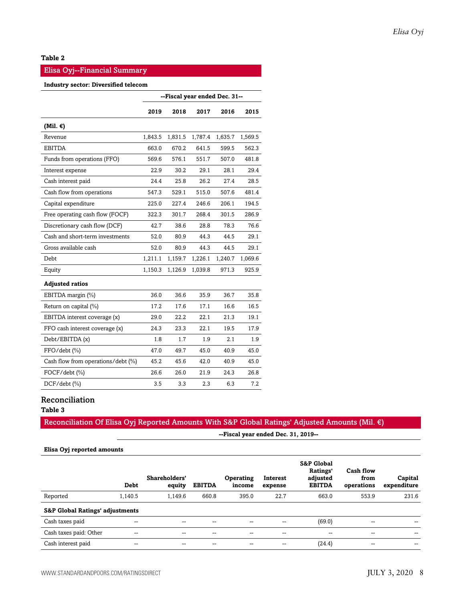#### **Table 2**

#### Elisa Oyj--Financial Summary

#### **Industry sector: Diversified telecom**

|                                    |         | --Fiscal year ended Dec. 31-- |         |         |         |
|------------------------------------|---------|-------------------------------|---------|---------|---------|
|                                    | 2019    | 2018                          | 2017    | 2016    | 2015    |
| (Mil. $\epsilon$ )                 |         |                               |         |         |         |
| Revenue                            | 1,843.5 | 1,831.5                       | 1,787.4 | 1,635.7 | 1,569.5 |
| <b>EBITDA</b>                      | 663.0   | 670.2                         | 641.5   | 599.5   | 562.3   |
| Funds from operations (FFO)        | 569.6   | 576.1                         | 551.7   | 507.0   | 481.8   |
| Interest expense                   | 22.9    | 30.2                          | 29.1    | 28.1    | 29.4    |
| Cash interest paid                 | 24.4    | 25.8                          | 26.2    | 27.4    | 28.5    |
| Cash flow from operations          | 547.3   | 529.1                         | 515.0   | 507.6   | 481.4   |
| Capital expenditure                | 225.0   | 227.4                         | 246.6   | 206.1   | 194.5   |
| Free operating cash flow (FOCF)    | 322.3   | 301.7                         | 268.4   | 301.5   | 286.9   |
| Discretionary cash flow (DCF)      | 42.7    | 38.6                          | 28.8    | 78.3    | 76.6    |
| Cash and short-term investments    | 52.0    | 80.9                          | 44.3    | 44.5    | 29.1    |
| Gross available cash               | 52.0    | 80.9                          | 44.3    | 44.5    | 29.1    |
| Debt                               | 1,211.1 | 1,159.7                       | 1,226.1 | 1,240.7 | 1,069.6 |
| Equity                             | 1,150.3 | 1,126.9                       | 1,039.8 | 971.3   | 925.9   |
| <b>Adjusted ratios</b>             |         |                               |         |         |         |
| EBITDA margin (%)                  | 36.0    | 36.6                          | 35.9    | 36.7    | 35.8    |
| Return on capital (%)              | 17.2    | 17.6                          | 17.1    | 16.6    | 16.5    |
| EBITDA interest coverage (x)       | 29.0    | 22.2                          | 22.1    | 21.3    | 19.1    |
| FFO cash interest coverage (x)     | 24.3    | 23.3                          | 22.1    | 19.5    | 17.9    |
| Debt/EBITDA(x)                     | 1.8     | 1.7                           | 1.9     | 2.1     | 1.9     |
| FFO/debt (%)                       | 47.0    | 49.7                          | 45.0    | 40.9    | 45.0    |
| Cash flow from operations/debt (%) | 45.2    | 45.6                          | 42.0    | 40.9    | 45.0    |
| FOCF/debt (%)                      | 26.6    | 26.0                          | 21.9    | 24.3    | 26.8    |
| $DCF/debt$ (%)                     | 3.5     | 3.3                           | 2.3     | 6.3     | 7.2     |

#### Reconciliation

**Table 3**

#### Reconciliation Of Elisa Oyj Reported Amounts With S&P Global Ratings' Adjusted Amounts (Mil. €)

**--Fiscal year ended Dec. 31, 2019--**

#### **Elisa Oyj reported amounts**

|                                            | <b>Debt</b>              | Shareholders'<br>equity | <b>EBITDA</b> | <b>Operating</b><br>income | Interest<br>expense | <b>S&amp;P Global</b><br>Ratings'<br>adjusted<br><b>EBITDA</b> | Cash flow<br>from<br>operations | Capital<br>expenditure |
|--------------------------------------------|--------------------------|-------------------------|---------------|----------------------------|---------------------|----------------------------------------------------------------|---------------------------------|------------------------|
| Reported                                   | 1,140.5                  | 1.149.6                 | 660.8         | 395.0                      | 22.7                | 663.0                                                          | 553.9                           | 231.6                  |
| <b>S&amp;P Global Ratings' adjustments</b> |                          |                         |               |                            |                     |                                                                |                                 |                        |
| Cash taxes paid                            | $\overline{\phantom{m}}$ |                         | --            | $- -$                      | --                  | (69.0)                                                         | --                              |                        |
| Cash taxes paid: Other                     | $\hspace{0.05cm}$        | --                      |               | $- -$                      | --                  | --                                                             | $- -$                           | $- -$                  |
| Cash interest paid                         | --                       |                         |               | --                         | --                  | (24.4)                                                         | --                              | $- -$                  |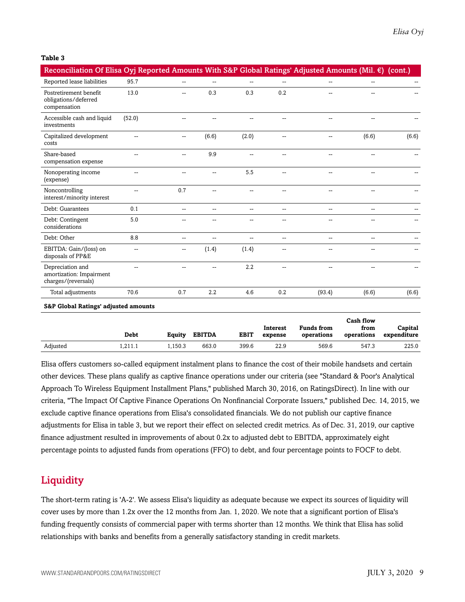#### **Table 3**

| Reconciliation Of Elisa Oyj Reported Amounts With S&P Global Ratings' Adjusted Amounts (Mil. €) (cont.) |                |     |                |                |                          |                |                  |       |
|---------------------------------------------------------------------------------------------------------|----------------|-----|----------------|----------------|--------------------------|----------------|------------------|-------|
| Reported lease liabilities                                                                              | 95.7           | --  | $\overline{a}$ | ÷÷.            | $\mathbf{u}$             | $\overline{a}$ | $\overline{a}$   |       |
| Postretirement benefit<br>obligations/deferred<br>compensation                                          | 13.0           |     | 0.3            | 0.3            | 0.2                      |                |                  |       |
| Accessible cash and liquid<br>investments                                                               | (52.0)         |     |                |                |                          |                | --               |       |
| Capitalized development<br>costs                                                                        | $\overline{a}$ | --  | (6.6)          | (2.0)          | $\overline{a}$           | $-$            | (6.6)            | (6.6) |
| Share-based<br>compensation expense                                                                     | --             | --  | 9.9            |                |                          |                |                  |       |
| Nonoperating income<br>(expense)                                                                        | --             |     | --             | 5.5            | --                       |                |                  |       |
| Noncontrolling<br>interest/minority interest                                                            | $\overline{a}$ | 0.7 | $\overline{a}$ | $\overline{a}$ |                          | --             | --               |       |
| Debt: Guarantees                                                                                        | 0.1            | --  | --             | --             | --                       |                |                  |       |
| Debt: Contingent<br>considerations                                                                      | 5.0            |     |                |                |                          |                |                  |       |
| Debt: Other                                                                                             | 8.8            | --  | --             | --             | $\overline{\phantom{a}}$ | −−             | --               |       |
| EBITDA: Gain/(loss) on<br>disposals of PP&E                                                             | --             | -−  | (1.4)          | (1.4)          |                          |                |                  |       |
| Depreciation and<br>amortization: Impairment<br>charges/(reversals)                                     | $\overline{a}$ | --  | $\sim$         | 2.2            | $\sim$                   | $-$            | $\overline{a}$   |       |
| Total adjustments                                                                                       | 70.6           | 0.7 | 2.2            | 4.6            | 0.2                      | (93.4)         | (6.6)            | (6.6) |
| <b>S&amp;P Global Ratings' adjusted amounts</b>                                                         |                |     |                |                |                          |                | <b>Cash flow</b> |       |

|          |             |         |               |             |                     |                                 | Cash flow          |                        |
|----------|-------------|---------|---------------|-------------|---------------------|---------------------------------|--------------------|------------------------|
|          | <b>Debt</b> | Equity  | <b>EBITDA</b> | <b>EBIT</b> | Interest<br>expense | <b>Funds</b> from<br>operations | from<br>operations | Capital<br>expenditure |
| Adjusted | 1.211.1     | 1.150.3 | 663.0         | 399.6       | 22.9                | 569.6                           | 547.3              | 225.0                  |

Elisa offers customers so-called equipment instalment plans to finance the cost of their mobile handsets and certain other devices. These plans qualify as captive finance operations under our criteria (see "Standard & Poor's Analytical Approach To Wireless Equipment Installment Plans," published March 30, 2016, on RatingsDirect). In line with our criteria, "The Impact Of Captive Finance Operations On Nonfinancial Corporate Issuers," published Dec. 14, 2015, we exclude captive finance operations from Elisa's consolidated financials. We do not publish our captive finance adjustments for Elisa in table 3, but we report their effect on selected credit metrics. As of Dec. 31, 2019, our captive finance adjustment resulted in improvements of about 0.2x to adjusted debt to EBITDA, approximately eight percentage points to adjusted funds from operations (FFO) to debt, and four percentage points to FOCF to debt.

## <span id="page-8-0"></span>**Liquidity**

The short-term rating is 'A-2'. We assess Elisa's liquidity as adequate because we expect its sources of liquidity will cover uses by more than 1.2x over the 12 months from Jan. 1, 2020. We note that a significant portion of Elisa's funding frequently consists of commercial paper with terms shorter than 12 months. We think that Elisa has solid relationships with banks and benefits from a generally satisfactory standing in credit markets.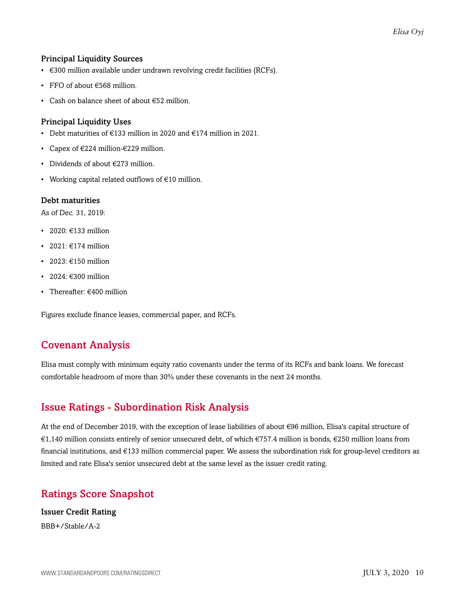#### Principal Liquidity Sources

- €300 million available under undrawn revolving credit facilities (RCFs).
- FFO of about €568 million.
- Cash on balance sheet of about €52 million.

#### Principal Liquidity Uses

- Debt maturities of €133 million in 2020 and €174 million in 2021.
- Capex of €224 million-€229 million.
- Dividends of about €273 million.
- Working capital related outflows of €10 million.

#### Debt maturities

As of Dec. 31, 2019:

- 2020: €133 million
- 2021:  $€174$  million
- $\cdot$  2023:  $\in$ 150 million
- 2024: €300 million
- Thereafter: €400 million

<span id="page-9-0"></span>Figures exclude finance leases, commercial paper, and RCFs.

## Covenant Analysis

Elisa must comply with minimum equity ratio covenants under the terms of its RCFs and bank loans. We forecast comfortable headroom of more than 30% under these covenants in the next 24 months.

## <span id="page-9-1"></span>Issue Ratings - Subordination Risk Analysis

At the end of December 2019, with the exception of lease liabilities of about €96 million, Elisa's capital structure of €1,140 million consists entirely of senior unsecured debt, of which €757.4 million is bonds, €250 million loans from financial institutions, and €133 million commercial paper. We assess the subordination risk for group-level creditors as limited and rate Elisa's senior unsecured debt at the same level as the issuer credit rating.

## <span id="page-9-2"></span>Ratings Score Snapshot

Issuer Credit Rating BBB+/Stable/A-2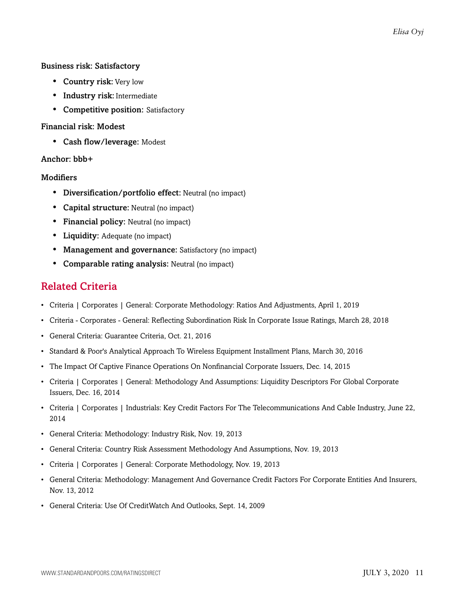#### Business risk: Satisfactory

- **Country risk:** Very low
- Industry risk: Intermediate
- Competitive position: Satisfactory

#### Financial risk: Modest

• Cash flow/leverage: Modest

#### Anchor: bbb+

#### **Modifiers**

- Diversification/portfolio effect: Neutral (no impact)
- Capital structure: Neutral (no impact)
- Financial policy: Neutral (no impact)
- Liquidity: Adequate (no impact)
- Management and governance: Satisfactory (no impact)
- <span id="page-10-0"></span>• Comparable rating analysis: Neutral (no impact)

### Related Criteria

- Criteria | Corporates | General: Corporate Methodology: Ratios And Adjustments, April 1, 2019
- Criteria Corporates General: Reflecting Subordination Risk In Corporate Issue Ratings, March 28, 2018
- General Criteria: Guarantee Criteria, Oct. 21, 2016
- Standard & Poor's Analytical Approach To Wireless Equipment Installment Plans, March 30, 2016
- The Impact Of Captive Finance Operations On Nonfinancial Corporate Issuers, Dec. 14, 2015
- Criteria | Corporates | General: Methodology And Assumptions: Liquidity Descriptors For Global Corporate Issuers, Dec. 16, 2014
- Criteria | Corporates | Industrials: Key Credit Factors For The Telecommunications And Cable Industry, June 22, 2014
- General Criteria: Methodology: Industry Risk, Nov. 19, 2013
- General Criteria: Country Risk Assessment Methodology And Assumptions, Nov. 19, 2013
- Criteria | Corporates | General: Corporate Methodology, Nov. 19, 2013
- General Criteria: Methodology: Management And Governance Credit Factors For Corporate Entities And Insurers, Nov. 13, 2012
- General Criteria: Use Of CreditWatch And Outlooks, Sept. 14, 2009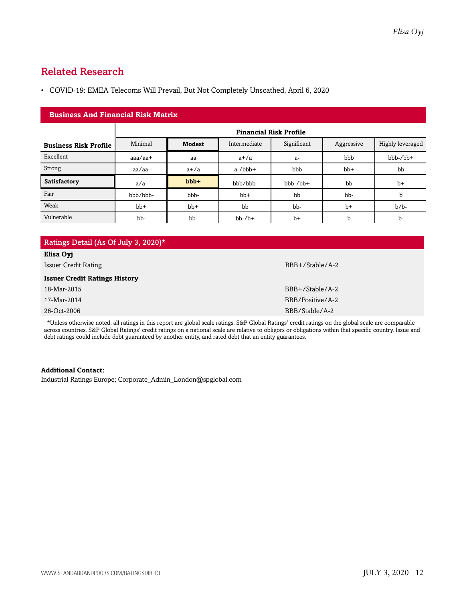## <span id="page-11-0"></span>Related Research

• COVID-19: EMEA Telecoms Will Prevail, But Not Completely Unscathed, April 6, 2020

| <b>Business And Financial Risk Matrix</b> |           |                               |              |             |            |                  |  |  |  |  |
|-------------------------------------------|-----------|-------------------------------|--------------|-------------|------------|------------------|--|--|--|--|
|                                           |           | <b>Financial Risk Profile</b> |              |             |            |                  |  |  |  |  |
| <b>Business Risk Profile</b>              | Minimal   | <b>Modest</b>                 | Intermediate | Significant | Aggressive | Highly leveraged |  |  |  |  |
| Excellent                                 | $aaa/aa+$ | aa                            | $a+/a$       | $a-$        | bbb        | bbb-/bb+         |  |  |  |  |
| Strong                                    | aa/aa-    | $a+/a$                        | $a$ -/bbb+   | bbb         | $bb+$      | bb               |  |  |  |  |
| Satisfactory                              | $a/a-$    | $bbb +$                       | bbb/bbb-     | $bbb-/bb+$  | bb         | $b+$             |  |  |  |  |
| Fair                                      | bbb/bbb-  | bbb-                          | $bb+$        | bb          | bb-        | b                |  |  |  |  |
| Weak                                      | $bb+$     | $bb+$                         | bb           | bb-         | $b+$       | $b/b$ -          |  |  |  |  |
| Vulnerable                                | bb-       | bb-                           | $bb-7b+$     | $b+$        | b          | $b-$             |  |  |  |  |

\*Unless otherwise noted, all ratings in this report are global scale ratings. S&P Global Ratings' credit ratings on the global scale are comparable across countries. S&P Global Ratings' credit ratings on a national scale are relative to obligors or obligations within that specific country. Issue and debt ratings could include debt guaranteed by another entity, and rated debt that an entity guarantees.

#### **Additional Contact:**

Industrial Ratings Europe; Corporate\_Admin\_London@spglobal.com